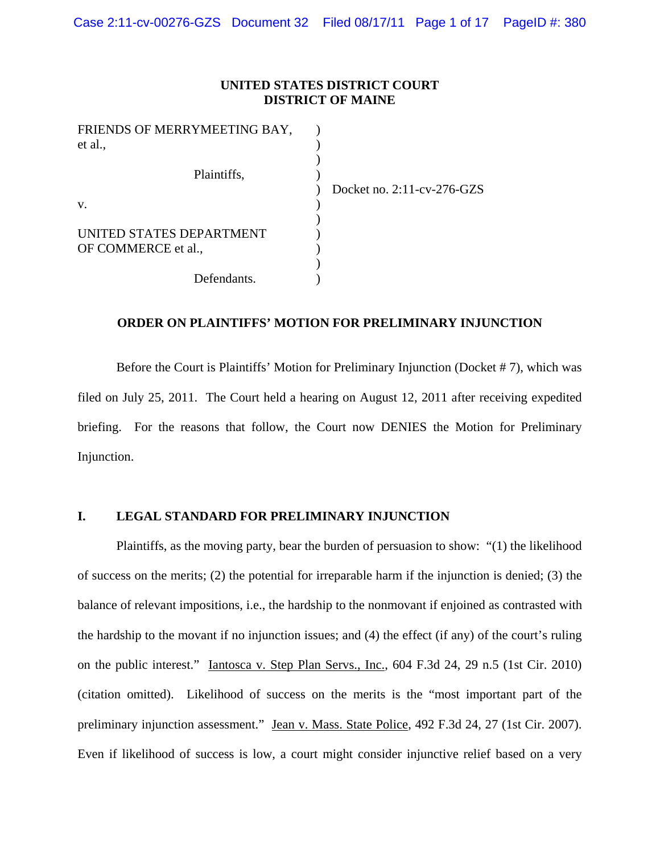### **UNITED STATES DISTRICT COURT DISTRICT OF MAINE**

| FRIENDS OF MERRYMEETING BAY, |                                   |
|------------------------------|-----------------------------------|
| et al.,                      |                                   |
|                              |                                   |
| Plaintiffs,                  |                                   |
|                              | Docket no. $2:11$ -cv- $276$ -GZS |
| V.                           |                                   |
|                              |                                   |
| UNITED STATES DEPARTMENT     |                                   |
| OF COMMERCE et al.,          |                                   |
|                              |                                   |
| Defendants.                  |                                   |

# **ORDER ON PLAINTIFFS' MOTION FOR PRELIMINARY INJUNCTION**

Before the Court is Plaintiffs' Motion for Preliminary Injunction (Docket # 7), which was filed on July 25, 2011. The Court held a hearing on August 12, 2011 after receiving expedited briefing. For the reasons that follow, the Court now DENIES the Motion for Preliminary Injunction.

## **I. LEGAL STANDARD FOR PRELIMINARY INJUNCTION**

Plaintiffs, as the moving party, bear the burden of persuasion to show: "(1) the likelihood of success on the merits; (2) the potential for irreparable harm if the injunction is denied; (3) the balance of relevant impositions, i.e., the hardship to the nonmovant if enjoined as contrasted with the hardship to the movant if no injunction issues; and (4) the effect (if any) of the court's ruling on the public interest." Iantosca v. Step Plan Servs., Inc., 604 F.3d 24, 29 n.5 (1st Cir. 2010) (citation omitted). Likelihood of success on the merits is the "most important part of the preliminary injunction assessment." Jean v. Mass. State Police, 492 F.3d 24, 27 (1st Cir. 2007). Even if likelihood of success is low, a court might consider injunctive relief based on a very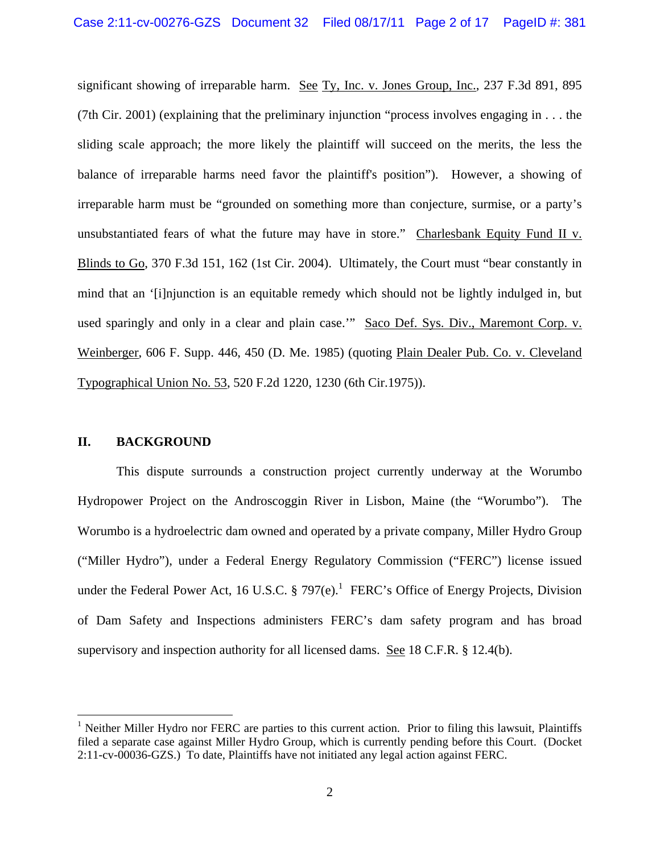significant showing of irreparable harm. See Ty, Inc. v. Jones Group, Inc., 237 F.3d 891, 895 (7th Cir. 2001) (explaining that the preliminary injunction "process involves engaging in . . . the sliding scale approach; the more likely the plaintiff will succeed on the merits, the less the balance of irreparable harms need favor the plaintiff's position"). However, a showing of irreparable harm must be "grounded on something more than conjecture, surmise, or a party's unsubstantiated fears of what the future may have in store." Charlesbank Equity Fund II v. Blinds to Go, 370 F.3d 151, 162 (1st Cir. 2004). Ultimately, the Court must "bear constantly in mind that an '[i]njunction is an equitable remedy which should not be lightly indulged in, but used sparingly and only in a clear and plain case.'" Saco Def. Sys. Div., Maremont Corp. v. Weinberger, 606 F. Supp. 446, 450 (D. Me. 1985) (quoting Plain Dealer Pub. Co. v. Cleveland Typographical Union No. 53, 520 F.2d 1220, 1230 (6th Cir.1975)).

## **II. BACKGROUND**

 $\overline{a}$ 

This dispute surrounds a construction project currently underway at the Worumbo Hydropower Project on the Androscoggin River in Lisbon, Maine (the "Worumbo"). The Worumbo is a hydroelectric dam owned and operated by a private company, Miller Hydro Group ("Miller Hydro"), under a Federal Energy Regulatory Commission ("FERC") license issued under the Federal Power Act, 16 U.S.C. § 797 $(e)$ .<sup>1</sup> FERC's Office of Energy Projects, Division of Dam Safety and Inspections administers FERC's dam safety program and has broad supervisory and inspection authority for all licensed dams. See 18 C.F.R. § 12.4(b).

<sup>&</sup>lt;sup>1</sup> Neither Miller Hydro nor FERC are parties to this current action. Prior to filing this lawsuit, Plaintiffs filed a separate case against Miller Hydro Group, which is currently pending before this Court. (Docket 2:11-cv-00036-GZS.) To date, Plaintiffs have not initiated any legal action against FERC.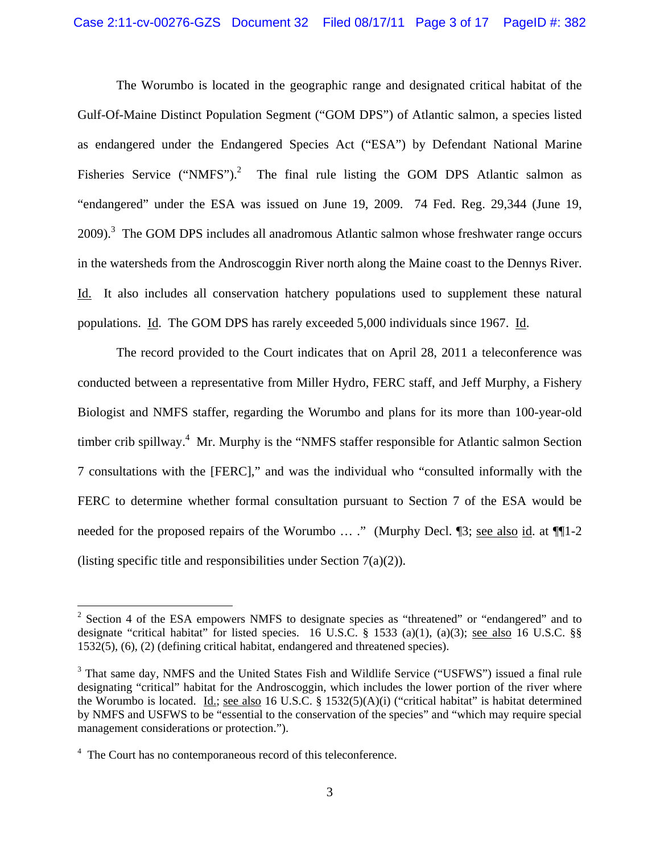The Worumbo is located in the geographic range and designated critical habitat of the Gulf-Of-Maine Distinct Population Segment ("GOM DPS") of Atlantic salmon, a species listed as endangered under the Endangered Species Act ("ESA") by Defendant National Marine Fisheries Service ("NMFS").<sup>2</sup> The final rule listing the GOM DPS Atlantic salmon as "endangered" under the ESA was issued on June 19, 2009. 74 Fed. Reg. 29,344 (June 19,  $2009$ ).<sup>3</sup> The GOM DPS includes all anadromous Atlantic salmon whose freshwater range occurs in the watersheds from the Androscoggin River north along the Maine coast to the Dennys River. Id. It also includes all conservation hatchery populations used to supplement these natural populations. Id. The GOM DPS has rarely exceeded 5,000 individuals since 1967. Id.

The record provided to the Court indicates that on April 28, 2011 a teleconference was conducted between a representative from Miller Hydro, FERC staff, and Jeff Murphy, a Fishery Biologist and NMFS staffer, regarding the Worumbo and plans for its more than 100-year-old timber crib spillway.<sup>4</sup> Mr. Murphy is the "NMFS staffer responsible for Atlantic salmon Section 7 consultations with the [FERC]," and was the individual who "consulted informally with the FERC to determine whether formal consultation pursuant to Section 7 of the ESA would be needed for the proposed repairs of the Worumbo ... ." (Murphy Decl. 13; see also id. at 111-2 (listing specific title and responsibilities under Section  $7(a)(2)$ ).

<u>.</u>

 $2^2$  Section 4 of the ESA empowers NMFS to designate species as "threatened" or "endangered" and to designate "critical habitat" for listed species. 16 U.S.C. § 1533 (a)(1), (a)(3); see also 16 U.S.C. §§ 1532(5), (6), (2) (defining critical habitat, endangered and threatened species).

<sup>&</sup>lt;sup>3</sup> That same day, NMFS and the United States Fish and Wildlife Service ("USFWS") issued a final rule designating "critical" habitat for the Androscoggin, which includes the lower portion of the river where the Worumbo is located. Id.; see also 16 U.S.C. § 1532(5)(A)(i) ("critical habitat" is habitat determined by NMFS and USFWS to be "essential to the conservation of the species" and "which may require special management considerations or protection.").

<sup>&</sup>lt;sup>4</sup> The Court has no contemporaneous record of this teleconference.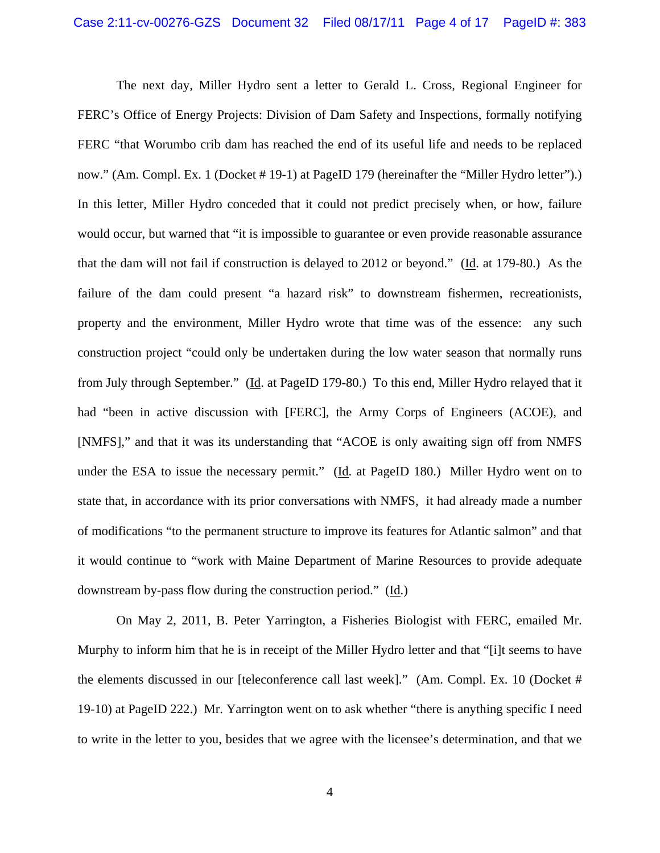The next day, Miller Hydro sent a letter to Gerald L. Cross, Regional Engineer for FERC's Office of Energy Projects: Division of Dam Safety and Inspections, formally notifying FERC "that Worumbo crib dam has reached the end of its useful life and needs to be replaced now." (Am. Compl. Ex. 1 (Docket # 19-1) at PageID 179 (hereinafter the "Miller Hydro letter").) In this letter, Miller Hydro conceded that it could not predict precisely when, or how, failure would occur, but warned that "it is impossible to guarantee or even provide reasonable assurance that the dam will not fail if construction is delayed to 2012 or beyond." (Id. at 179-80.) As the failure of the dam could present "a hazard risk" to downstream fishermen, recreationists, property and the environment, Miller Hydro wrote that time was of the essence: any such construction project "could only be undertaken during the low water season that normally runs from July through September." (Id. at PageID 179-80.) To this end, Miller Hydro relayed that it had "been in active discussion with [FERC], the Army Corps of Engineers (ACOE), and [NMFS]," and that it was its understanding that "ACOE is only awaiting sign off from NMFS under the ESA to issue the necessary permit." (Id. at PageID 180.) Miller Hydro went on to state that, in accordance with its prior conversations with NMFS, it had already made a number of modifications "to the permanent structure to improve its features for Atlantic salmon" and that it would continue to "work with Maine Department of Marine Resources to provide adequate downstream by-pass flow during the construction period." (Id.)

On May 2, 2011, B. Peter Yarrington, a Fisheries Biologist with FERC, emailed Mr. Murphy to inform him that he is in receipt of the Miller Hydro letter and that "[i]t seems to have the elements discussed in our [teleconference call last week]." (Am. Compl. Ex. 10 (Docket # 19-10) at PageID 222.) Mr. Yarrington went on to ask whether "there is anything specific I need to write in the letter to you, besides that we agree with the licensee's determination, and that we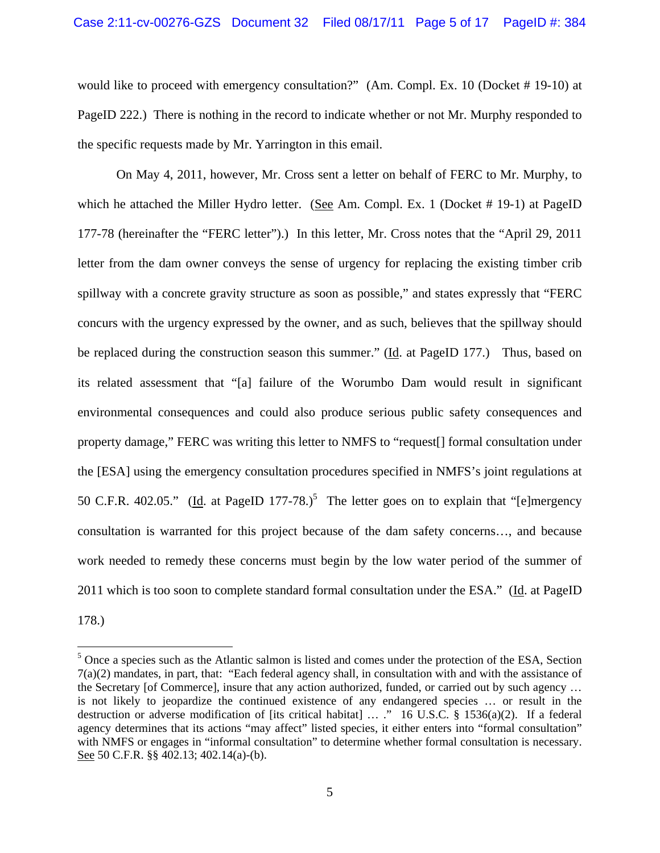would like to proceed with emergency consultation?" (Am. Compl. Ex. 10 (Docket # 19-10) at PageID 222.) There is nothing in the record to indicate whether or not Mr. Murphy responded to the specific requests made by Mr. Yarrington in this email.

On May 4, 2011, however, Mr. Cross sent a letter on behalf of FERC to Mr. Murphy, to which he attached the Miller Hydro letter. (See Am. Compl. Ex. 1 (Docket # 19-1) at PageID 177-78 (hereinafter the "FERC letter").) In this letter, Mr. Cross notes that the "April 29, 2011 letter from the dam owner conveys the sense of urgency for replacing the existing timber crib spillway with a concrete gravity structure as soon as possible," and states expressly that "FERC concurs with the urgency expressed by the owner, and as such, believes that the spillway should be replaced during the construction season this summer." (Id. at PageID 177.) Thus, based on its related assessment that "[a] failure of the Worumbo Dam would result in significant environmental consequences and could also produce serious public safety consequences and property damage," FERC was writing this letter to NMFS to "request[] formal consultation under the [ESA] using the emergency consultation procedures specified in NMFS's joint regulations at 50 C.F.R. 402.05." (Id. at PageID 177-78.)<sup>5</sup> The letter goes on to explain that "[e]mergency consultation is warranted for this project because of the dam safety concerns…, and because work needed to remedy these concerns must begin by the low water period of the summer of 2011 which is too soon to complete standard formal consultation under the ESA." (Id. at PageID 178.)

 $<sup>5</sup>$  Once a species such as the Atlantic salmon is listed and comes under the protection of the ESA, Section</sup> 7(a)(2) mandates, in part, that: "Each federal agency shall, in consultation with and with the assistance of the Secretary [of Commerce], insure that any action authorized, funded, or carried out by such agency … is not likely to jeopardize the continued existence of any endangered species … or result in the destruction or adverse modification of [its critical habitat] … ." 16 U.S.C. § 1536(a)(2). If a federal agency determines that its actions "may affect" listed species, it either enters into "formal consultation" with NMFS or engages in "informal consultation" to determine whether formal consultation is necessary. See 50 C.F.R. §§ 402.13; 402.14(a)-(b).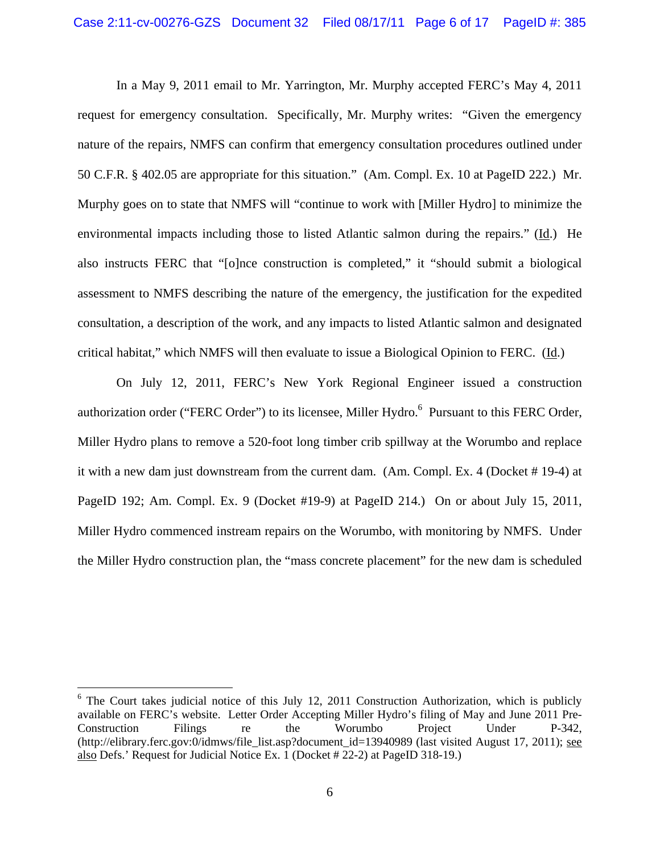In a May 9, 2011 email to Mr. Yarrington, Mr. Murphy accepted FERC's May 4, 2011 request for emergency consultation. Specifically, Mr. Murphy writes: "Given the emergency nature of the repairs, NMFS can confirm that emergency consultation procedures outlined under 50 C.F.R. § 402.05 are appropriate for this situation." (Am. Compl. Ex. 10 at PageID 222.) Mr. Murphy goes on to state that NMFS will "continue to work with [Miller Hydro] to minimize the environmental impacts including those to listed Atlantic salmon during the repairs." (Id.) He also instructs FERC that "[o]nce construction is completed," it "should submit a biological assessment to NMFS describing the nature of the emergency, the justification for the expedited consultation, a description of the work, and any impacts to listed Atlantic salmon and designated critical habitat," which NMFS will then evaluate to issue a Biological Opinion to FERC. (Id.)

On July 12, 2011, FERC's New York Regional Engineer issued a construction authorization order ("FERC Order") to its licensee, Miller Hydro.<sup>6</sup> Pursuant to this FERC Order, Miller Hydro plans to remove a 520-foot long timber crib spillway at the Worumbo and replace it with a new dam just downstream from the current dam. (Am. Compl. Ex. 4 (Docket # 19-4) at PageID 192; Am. Compl. Ex. 9 (Docket #19-9) at PageID 214.) On or about July 15, 2011, Miller Hydro commenced instream repairs on the Worumbo, with monitoring by NMFS. Under the Miller Hydro construction plan, the "mass concrete placement" for the new dam is scheduled

1

<sup>&</sup>lt;sup>6</sup> The Court takes judicial notice of this July 12, 2011 Construction Authorization, which is publicly available on FERC's website. Letter Order Accepting Miller Hydro's filing of May and June 2011 Pre-Construction Filings re the Worumbo Project Under P-342, (http://elibrary.ferc.gov:0/idmws/file\_list.asp?document\_id=13940989 (last visited August 17, 2011); see also Defs.' Request for Judicial Notice Ex. 1 (Docket # 22-2) at PageID 318-19.)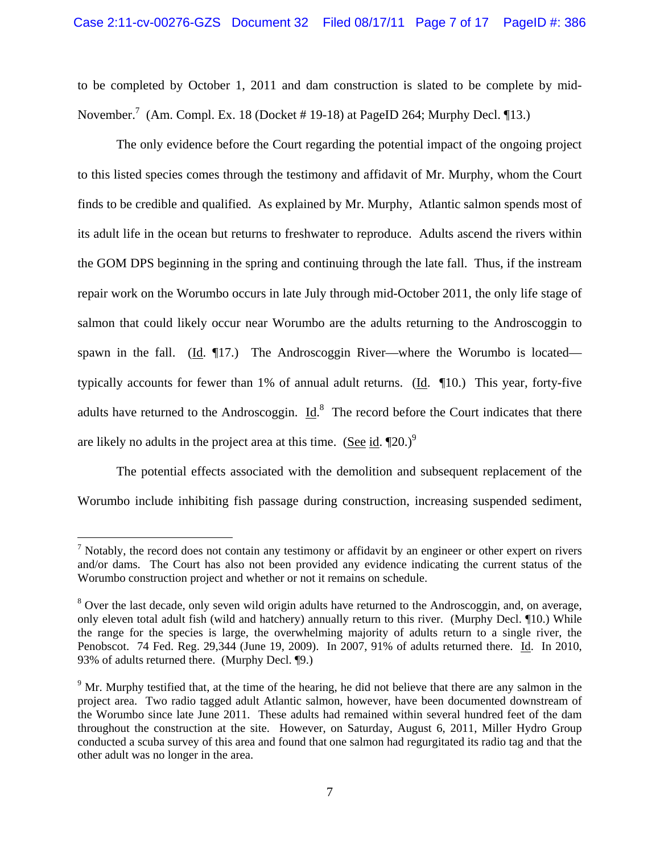to be completed by October 1, 2011 and dam construction is slated to be complete by mid-November.<sup>7</sup> (Am. Compl. Ex. 18 (Docket # 19-18) at PageID 264; Murphy Decl.  $\P$ 13.)

The only evidence before the Court regarding the potential impact of the ongoing project to this listed species comes through the testimony and affidavit of Mr. Murphy, whom the Court finds to be credible and qualified. As explained by Mr. Murphy, Atlantic salmon spends most of its adult life in the ocean but returns to freshwater to reproduce. Adults ascend the rivers within the GOM DPS beginning in the spring and continuing through the late fall. Thus, if the instream repair work on the Worumbo occurs in late July through mid-October 2011, the only life stage of salmon that could likely occur near Worumbo are the adults returning to the Androscoggin to spawn in the fall. (Id.  $\P$ 17.) The Androscoggin River—where the Worumbo is located typically accounts for fewer than 1% of annual adult returns. ( $\underline{Id}$ .  $\P$ 10.) This year, forty-five adults have returned to the Androscoggin.  $\underline{Id}$ .<sup>8</sup> The record before the Court indicates that there are likely no adults in the project area at this time. (See id.  $[20.9]$ <sup>9</sup>

The potential effects associated with the demolition and subsequent replacement of the Worumbo include inhibiting fish passage during construction, increasing suspended sediment,

 $<sup>7</sup>$  Notably, the record does not contain any testimony or affidavit by an engineer or other expert on rivers</sup> and/or dams. The Court has also not been provided any evidence indicating the current status of the Worumbo construction project and whether or not it remains on schedule.

<sup>&</sup>lt;sup>8</sup> Over the last decade, only seven wild origin adults have returned to the Androscoggin, and, on average, only eleven total adult fish (wild and hatchery) annually return to this river. (Murphy Decl. ¶10.) While the range for the species is large, the overwhelming majority of adults return to a single river, the Penobscot. 74 Fed. Reg. 29,344 (June 19, 2009). In 2007, 91% of adults returned there. Id. In 2010, 93% of adults returned there. (Murphy Decl. ¶9.)

<sup>&</sup>lt;sup>9</sup> Mr. Murphy testified that, at the time of the hearing, he did not believe that there are any salmon in the project area. Two radio tagged adult Atlantic salmon, however, have been documented downstream of the Worumbo since late June 2011. These adults had remained within several hundred feet of the dam throughout the construction at the site. However, on Saturday, August 6, 2011, Miller Hydro Group conducted a scuba survey of this area and found that one salmon had regurgitated its radio tag and that the other adult was no longer in the area.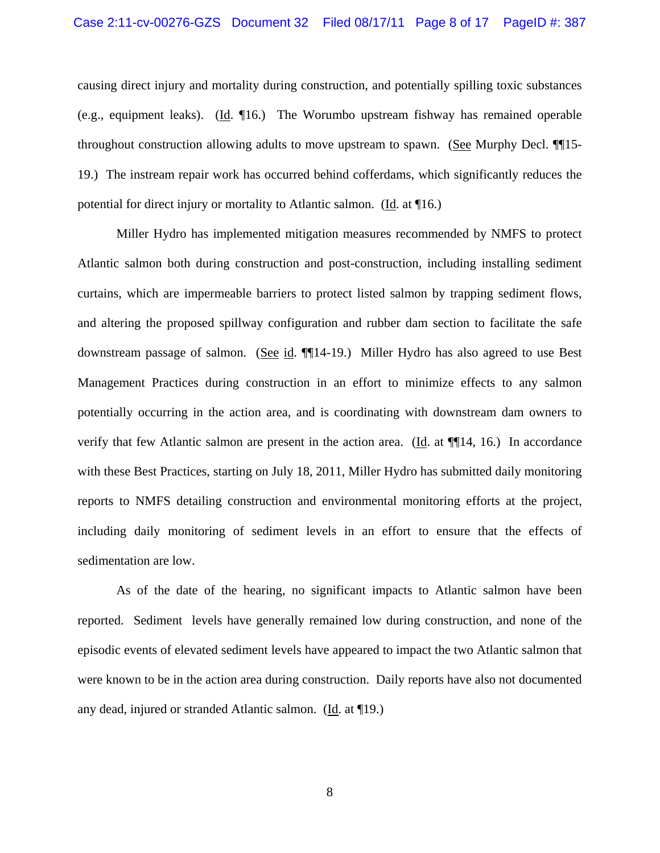causing direct injury and mortality during construction, and potentially spilling toxic substances (e.g., equipment leaks). (Id. ¶16.) The Worumbo upstream fishway has remained operable throughout construction allowing adults to move upstream to spawn. (See Murphy Decl. ¶¶15- 19.) The instream repair work has occurred behind cofferdams, which significantly reduces the potential for direct injury or mortality to Atlantic salmon. (Id. at ¶16.)

Miller Hydro has implemented mitigation measures recommended by NMFS to protect Atlantic salmon both during construction and post-construction, including installing sediment curtains, which are impermeable barriers to protect listed salmon by trapping sediment flows, and altering the proposed spillway configuration and rubber dam section to facilitate the safe downstream passage of salmon. (See id. ¶[14-19.) Miller Hydro has also agreed to use Best Management Practices during construction in an effort to minimize effects to any salmon potentially occurring in the action area, and is coordinating with downstream dam owners to verify that few Atlantic salmon are present in the action area. (Id. at ¶¶14, 16.) In accordance with these Best Practices, starting on July 18, 2011, Miller Hydro has submitted daily monitoring reports to NMFS detailing construction and environmental monitoring efforts at the project, including daily monitoring of sediment levels in an effort to ensure that the effects of sedimentation are low.

As of the date of the hearing, no significant impacts to Atlantic salmon have been reported. Sediment levels have generally remained low during construction, and none of the episodic events of elevated sediment levels have appeared to impact the two Atlantic salmon that were known to be in the action area during construction. Daily reports have also not documented any dead, injured or stranded Atlantic salmon. (Id. at ¶19.)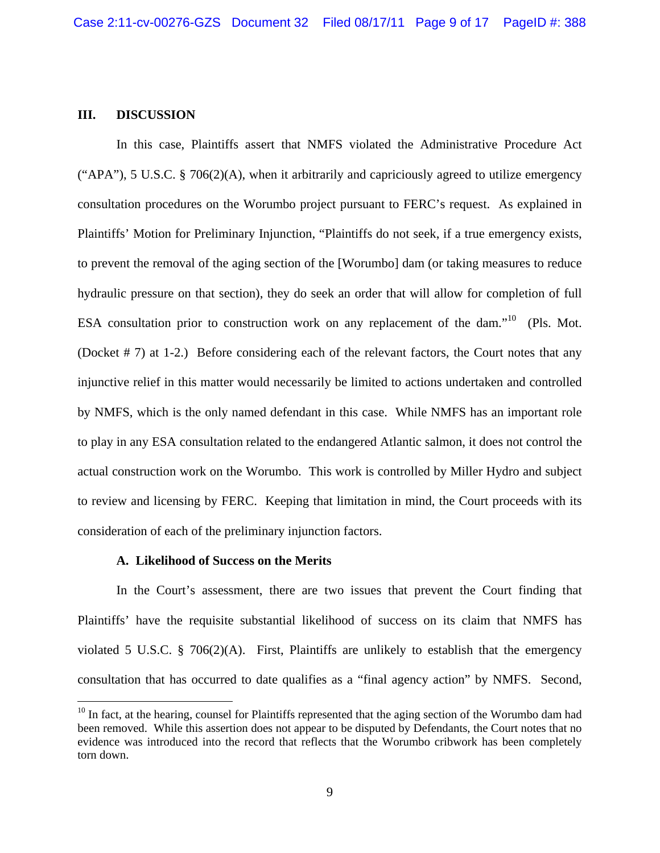### **III. DISCUSSION**

In this case, Plaintiffs assert that NMFS violated the Administrative Procedure Act ("APA"), 5 U.S.C. § 706(2)(A), when it arbitrarily and capriciously agreed to utilize emergency consultation procedures on the Worumbo project pursuant to FERC's request. As explained in Plaintiffs' Motion for Preliminary Injunction, "Plaintiffs do not seek, if a true emergency exists, to prevent the removal of the aging section of the [Worumbo] dam (or taking measures to reduce hydraulic pressure on that section), they do seek an order that will allow for completion of full ESA consultation prior to construction work on any replacement of the dam."<sup>10</sup> (Pls. Mot.) (Docket # 7) at 1-2.) Before considering each of the relevant factors, the Court notes that any injunctive relief in this matter would necessarily be limited to actions undertaken and controlled by NMFS, which is the only named defendant in this case. While NMFS has an important role to play in any ESA consultation related to the endangered Atlantic salmon, it does not control the actual construction work on the Worumbo. This work is controlled by Miller Hydro and subject to review and licensing by FERC. Keeping that limitation in mind, the Court proceeds with its consideration of each of the preliminary injunction factors.

#### **A. Likelihood of Success on the Merits**

 $\overline{a}$ 

In the Court's assessment, there are two issues that prevent the Court finding that Plaintiffs' have the requisite substantial likelihood of success on its claim that NMFS has violated 5 U.S.C. § 706(2)(A). First, Plaintiffs are unlikely to establish that the emergency consultation that has occurred to date qualifies as a "final agency action" by NMFS. Second,

 $10$  In fact, at the hearing, counsel for Plaintiffs represented that the aging section of the Worumbo dam had been removed. While this assertion does not appear to be disputed by Defendants, the Court notes that no evidence was introduced into the record that reflects that the Worumbo cribwork has been completely torn down.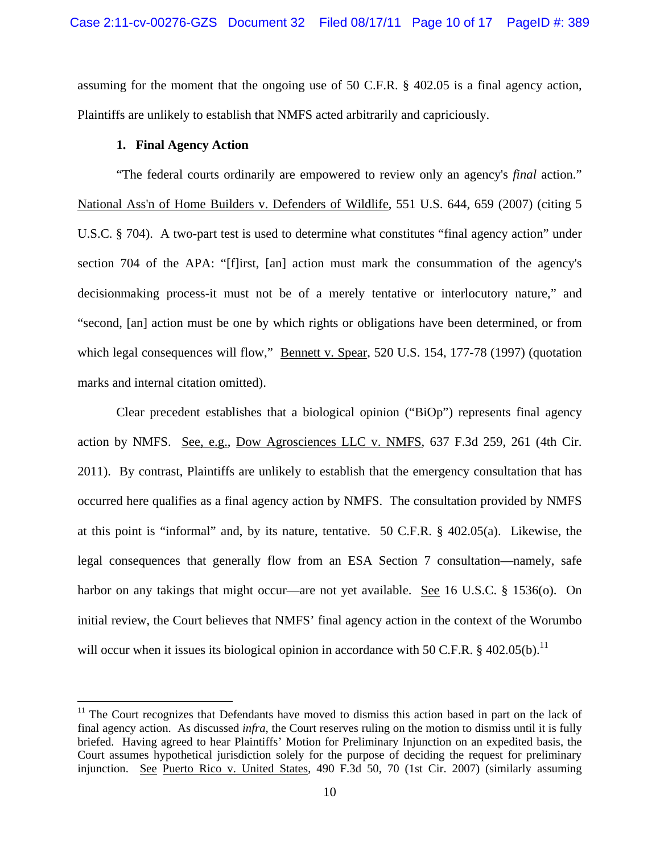assuming for the moment that the ongoing use of 50 C.F.R. § 402.05 is a final agency action, Plaintiffs are unlikely to establish that NMFS acted arbitrarily and capriciously.

## **1. Final Agency Action**

<u>.</u>

"The federal courts ordinarily are empowered to review only an agency's *final* action." National Ass'n of Home Builders v. Defenders of Wildlife, 551 U.S. 644, 659 (2007) (citing 5 U.S.C. § 704). A two-part test is used to determine what constitutes "final agency action" under section 704 of the APA: "[f]irst, [an] action must mark the consummation of the agency's decisionmaking process-it must not be of a merely tentative or interlocutory nature," and "second, [an] action must be one by which rights or obligations have been determined, or from which legal consequences will flow," **Bennett v. Spear**, 520 U.S. 154, 177-78 (1997) (quotation marks and internal citation omitted).

Clear precedent establishes that a biological opinion ("BiOp") represents final agency action by NMFS. See, e.g., Dow Agrosciences LLC v. NMFS, 637 F.3d 259, 261 (4th Cir. 2011). By contrast, Plaintiffs are unlikely to establish that the emergency consultation that has occurred here qualifies as a final agency action by NMFS. The consultation provided by NMFS at this point is "informal" and, by its nature, tentative. 50 C.F.R. § 402.05(a). Likewise, the legal consequences that generally flow from an ESA Section 7 consultation—namely, safe harbor on any takings that might occur—are not yet available. See 16 U.S.C. § 1536(o). On initial review, the Court believes that NMFS' final agency action in the context of the Worumbo will occur when it issues its biological opinion in accordance with 50 C.F.R. § 402.05(b).<sup>11</sup>

 $11$  The Court recognizes that Defendants have moved to dismiss this action based in part on the lack of final agency action. As discussed *infra*, the Court reserves ruling on the motion to dismiss until it is fully briefed. Having agreed to hear Plaintiffs' Motion for Preliminary Injunction on an expedited basis, the Court assumes hypothetical jurisdiction solely for the purpose of deciding the request for preliminary injunction. See Puerto Rico v. United States, 490 F.3d 50, 70 (1st Cir. 2007) (similarly assuming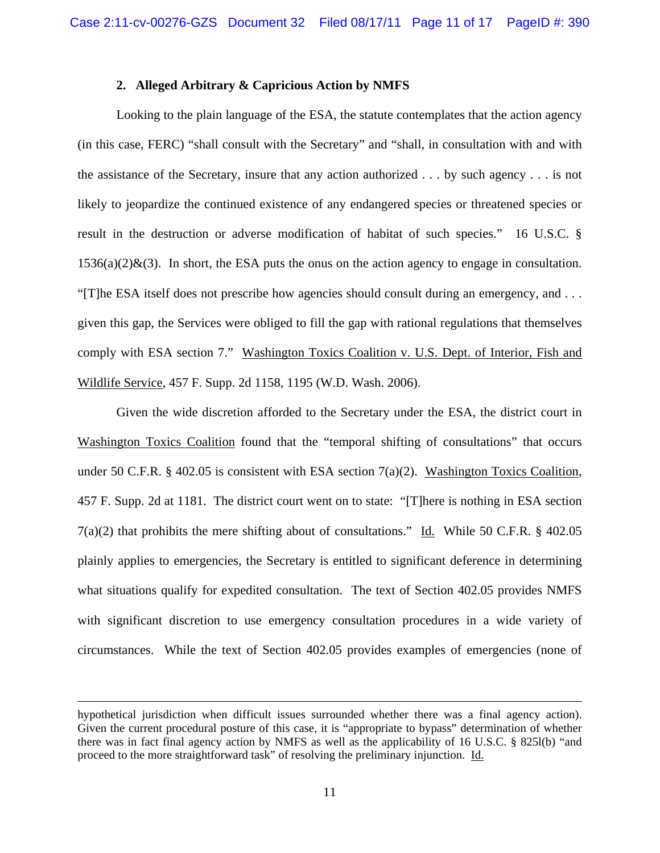### **2. Alleged Arbitrary & Capricious Action by NMFS**

Looking to the plain language of the ESA, the statute contemplates that the action agency (in this case, FERC) "shall consult with the Secretary" and "shall, in consultation with and with the assistance of the Secretary, insure that any action authorized . . . by such agency . . . is not likely to jeopardize the continued existence of any endangered species or threatened species or result in the destruction or adverse modification of habitat of such species." 16 U.S.C. §  $1536(a)(2)\&$ (3). In short, the ESA puts the onus on the action agency to engage in consultation. "[T]he ESA itself does not prescribe how agencies should consult during an emergency, and . . . given this gap, the Services were obliged to fill the gap with rational regulations that themselves comply with ESA section 7." Washington Toxics Coalition v. U.S. Dept. of Interior, Fish and Wildlife Service, 457 F. Supp. 2d 1158, 1195 (W.D. Wash. 2006).

Given the wide discretion afforded to the Secretary under the ESA, the district court in Washington Toxics Coalition found that the "temporal shifting of consultations" that occurs under 50 C.F.R. § 402.05 is consistent with ESA section  $7(a)(2)$ . Washington Toxics Coalition, 457 F. Supp. 2d at 1181. The district court went on to state: "[T]here is nothing in ESA section 7(a)(2) that prohibits the mere shifting about of consultations." Id. While 50 C.F.R. § 402.05 plainly applies to emergencies, the Secretary is entitled to significant deference in determining what situations qualify for expedited consultation. The text of Section 402.05 provides NMFS with significant discretion to use emergency consultation procedures in a wide variety of circumstances. While the text of Section 402.05 provides examples of emergencies (none of

hypothetical jurisdiction when difficult issues surrounded whether there was a final agency action). Given the current procedural posture of this case, it is "appropriate to bypass" determination of whether there was in fact final agency action by NMFS as well as the applicability of 16 U.S.C. § 825l(b) "and proceed to the more straightforward task" of resolving the preliminary injunction. Id.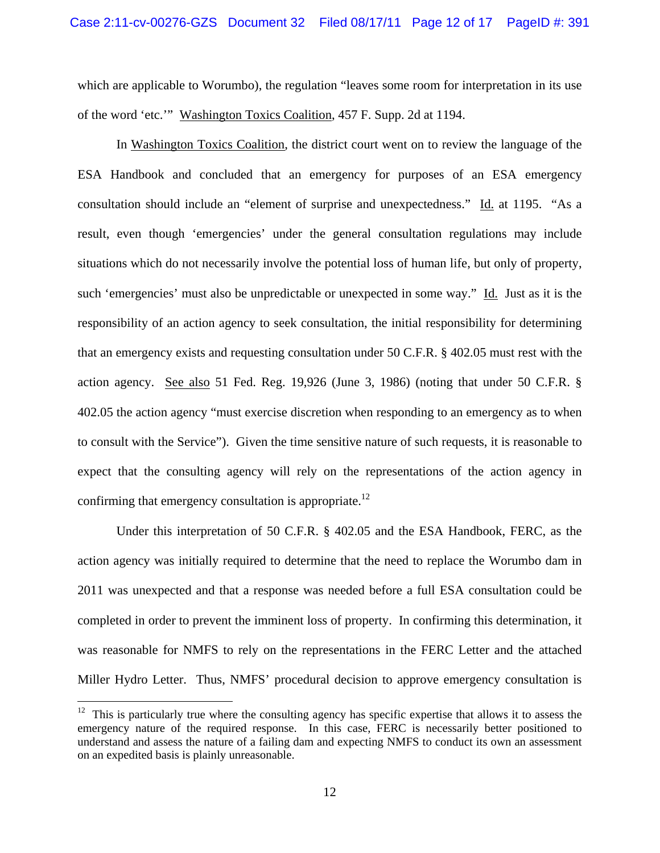which are applicable to Worumbo), the regulation "leaves some room for interpretation in its use of the word 'etc.'" Washington Toxics Coalition, 457 F. Supp. 2d at 1194.

In Washington Toxics Coalition, the district court went on to review the language of the ESA Handbook and concluded that an emergency for purposes of an ESA emergency consultation should include an "element of surprise and unexpectedness." Id. at 1195. "As a result, even though 'emergencies' under the general consultation regulations may include situations which do not necessarily involve the potential loss of human life, but only of property, such 'emergencies' must also be unpredictable or unexpected in some way." Id. Just as it is the responsibility of an action agency to seek consultation, the initial responsibility for determining that an emergency exists and requesting consultation under 50 C.F.R. § 402.05 must rest with the action agency. See also 51 Fed. Reg. 19,926 (June 3, 1986) (noting that under 50 C.F.R. § 402.05 the action agency "must exercise discretion when responding to an emergency as to when to consult with the Service"). Given the time sensitive nature of such requests, it is reasonable to expect that the consulting agency will rely on the representations of the action agency in confirming that emergency consultation is appropriate.<sup>12</sup>

Under this interpretation of 50 C.F.R. § 402.05 and the ESA Handbook, FERC, as the action agency was initially required to determine that the need to replace the Worumbo dam in 2011 was unexpected and that a response was needed before a full ESA consultation could be completed in order to prevent the imminent loss of property. In confirming this determination, it was reasonable for NMFS to rely on the representations in the FERC Letter and the attached Miller Hydro Letter. Thus, NMFS' procedural decision to approve emergency consultation is

 $12$  This is particularly true where the consulting agency has specific expertise that allows it to assess the emergency nature of the required response. In this case, FERC is necessarily better positioned to understand and assess the nature of a failing dam and expecting NMFS to conduct its own an assessment on an expedited basis is plainly unreasonable.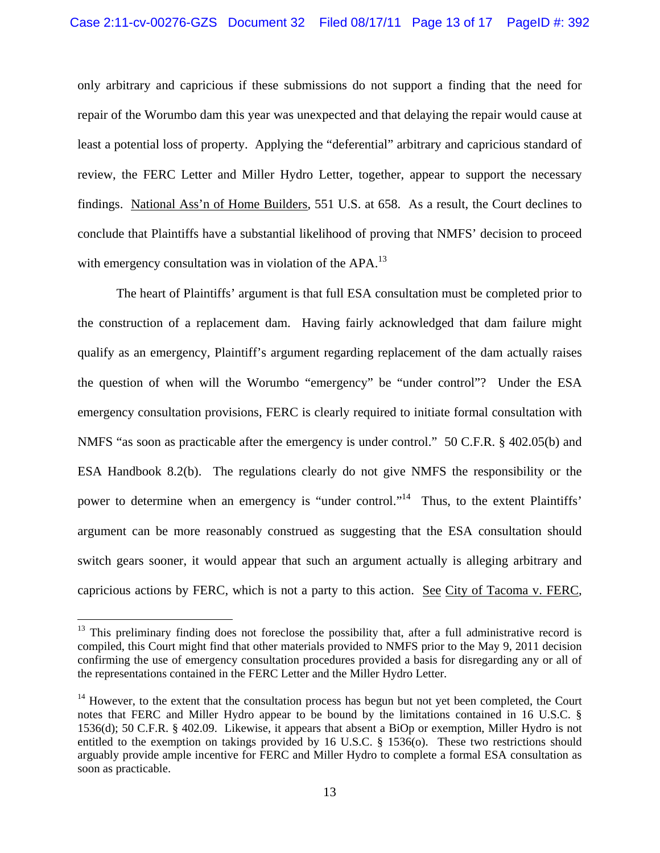only arbitrary and capricious if these submissions do not support a finding that the need for repair of the Worumbo dam this year was unexpected and that delaying the repair would cause at least a potential loss of property. Applying the "deferential" arbitrary and capricious standard of review, the FERC Letter and Miller Hydro Letter, together, appear to support the necessary findings. National Ass'n of Home Builders, 551 U.S. at 658. As a result, the Court declines to conclude that Plaintiffs have a substantial likelihood of proving that NMFS' decision to proceed with emergency consultation was in violation of the  $APA$ <sup>13</sup>

The heart of Plaintiffs' argument is that full ESA consultation must be completed prior to the construction of a replacement dam. Having fairly acknowledged that dam failure might qualify as an emergency, Plaintiff's argument regarding replacement of the dam actually raises the question of when will the Worumbo "emergency" be "under control"? Under the ESA emergency consultation provisions, FERC is clearly required to initiate formal consultation with NMFS "as soon as practicable after the emergency is under control." 50 C.F.R. § 402.05(b) and ESA Handbook 8.2(b). The regulations clearly do not give NMFS the responsibility or the power to determine when an emergency is "under control."<sup>14</sup> Thus, to the extent Plaintiffs' argument can be more reasonably construed as suggesting that the ESA consultation should switch gears sooner, it would appear that such an argument actually is alleging arbitrary and capricious actions by FERC, which is not a party to this action. See City of Tacoma v. FERC,

 $13$  This preliminary finding does not foreclose the possibility that, after a full administrative record is compiled, this Court might find that other materials provided to NMFS prior to the May 9, 2011 decision confirming the use of emergency consultation procedures provided a basis for disregarding any or all of the representations contained in the FERC Letter and the Miller Hydro Letter.

 $14$  However, to the extent that the consultation process has begun but not yet been completed, the Court notes that FERC and Miller Hydro appear to be bound by the limitations contained in 16 U.S.C. § 1536(d); 50 C.F.R. § 402.09. Likewise, it appears that absent a BiOp or exemption, Miller Hydro is not entitled to the exemption on takings provided by 16 U.S.C. § 1536(o). These two restrictions should arguably provide ample incentive for FERC and Miller Hydro to complete a formal ESA consultation as soon as practicable.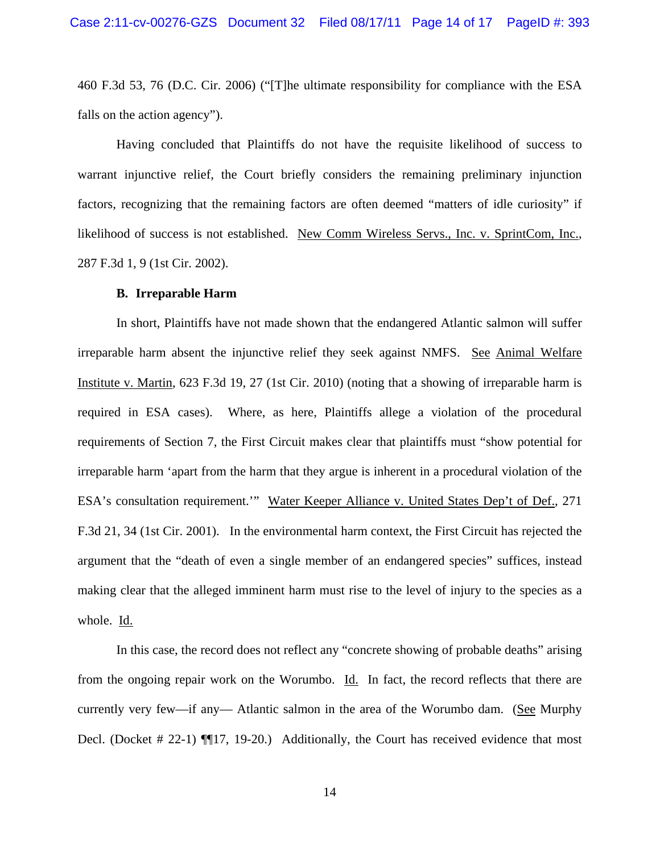460 F.3d 53, 76 (D.C. Cir. 2006) ("[T]he ultimate responsibility for compliance with the ESA falls on the action agency").

Having concluded that Plaintiffs do not have the requisite likelihood of success to warrant injunctive relief, the Court briefly considers the remaining preliminary injunction factors, recognizing that the remaining factors are often deemed "matters of idle curiosity" if likelihood of success is not established. New Comm Wireless Servs., Inc. v. SprintCom, Inc., 287 F.3d 1, 9 (1st Cir. 2002).

#### **B. Irreparable Harm**

In short, Plaintiffs have not made shown that the endangered Atlantic salmon will suffer irreparable harm absent the injunctive relief they seek against NMFS. See Animal Welfare Institute v. Martin, 623 F.3d 19, 27 (1st Cir. 2010) (noting that a showing of irreparable harm is required in ESA cases). Where, as here, Plaintiffs allege a violation of the procedural requirements of Section 7, the First Circuit makes clear that plaintiffs must "show potential for irreparable harm 'apart from the harm that they argue is inherent in a procedural violation of the ESA's consultation requirement."" Water Keeper Alliance v. United States Dep't of Def., 271 F.3d 21, 34 (1st Cir. 2001). In the environmental harm context, the First Circuit has rejected the argument that the "death of even a single member of an endangered species" suffices, instead making clear that the alleged imminent harm must rise to the level of injury to the species as a whole. Id.

In this case, the record does not reflect any "concrete showing of probable deaths" arising from the ongoing repair work on the Worumbo. Id. In fact, the record reflects that there are currently very few—if any— Atlantic salmon in the area of the Worumbo dam. (See Murphy Decl. (Docket # 22-1)  $\P$ [17, 19-20.) Additionally, the Court has received evidence that most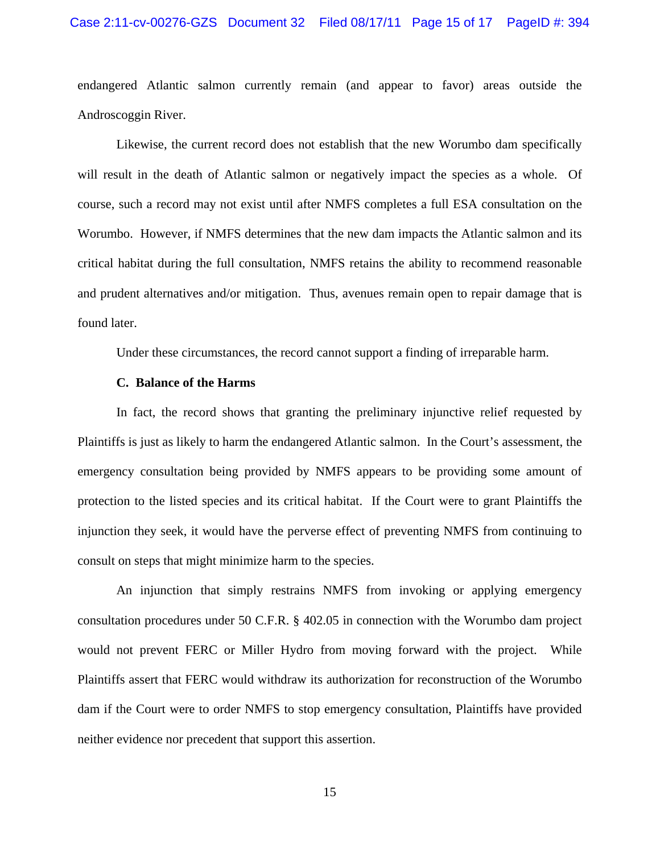#### Case 2:11-cv-00276-GZS Document 32 Filed 08/17/11 Page 15 of 17 PageID #: 394

endangered Atlantic salmon currently remain (and appear to favor) areas outside the Androscoggin River.

Likewise, the current record does not establish that the new Worumbo dam specifically will result in the death of Atlantic salmon or negatively impact the species as a whole. Of course, such a record may not exist until after NMFS completes a full ESA consultation on the Worumbo. However, if NMFS determines that the new dam impacts the Atlantic salmon and its critical habitat during the full consultation, NMFS retains the ability to recommend reasonable and prudent alternatives and/or mitigation. Thus, avenues remain open to repair damage that is found later.

Under these circumstances, the record cannot support a finding of irreparable harm.

#### **C. Balance of the Harms**

In fact, the record shows that granting the preliminary injunctive relief requested by Plaintiffs is just as likely to harm the endangered Atlantic salmon. In the Court's assessment, the emergency consultation being provided by NMFS appears to be providing some amount of protection to the listed species and its critical habitat. If the Court were to grant Plaintiffs the injunction they seek, it would have the perverse effect of preventing NMFS from continuing to consult on steps that might minimize harm to the species.

An injunction that simply restrains NMFS from invoking or applying emergency consultation procedures under 50 C.F.R. § 402.05 in connection with the Worumbo dam project would not prevent FERC or Miller Hydro from moving forward with the project. While Plaintiffs assert that FERC would withdraw its authorization for reconstruction of the Worumbo dam if the Court were to order NMFS to stop emergency consultation, Plaintiffs have provided neither evidence nor precedent that support this assertion.

15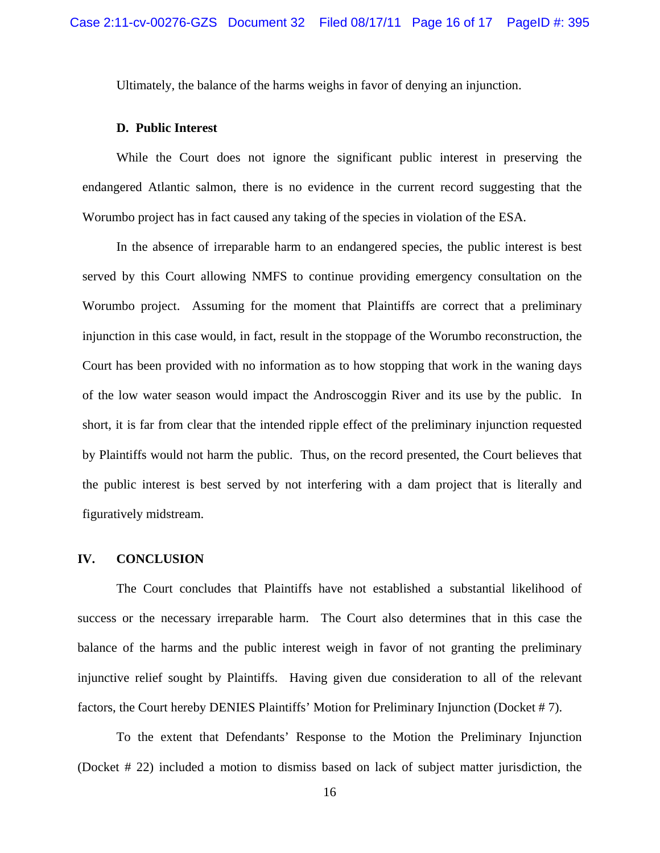Ultimately, the balance of the harms weighs in favor of denying an injunction.

#### **D. Public Interest**

While the Court does not ignore the significant public interest in preserving the endangered Atlantic salmon, there is no evidence in the current record suggesting that the Worumbo project has in fact caused any taking of the species in violation of the ESA.

In the absence of irreparable harm to an endangered species, the public interest is best served by this Court allowing NMFS to continue providing emergency consultation on the Worumbo project. Assuming for the moment that Plaintiffs are correct that a preliminary injunction in this case would, in fact, result in the stoppage of the Worumbo reconstruction, the Court has been provided with no information as to how stopping that work in the waning days of the low water season would impact the Androscoggin River and its use by the public. In short, it is far from clear that the intended ripple effect of the preliminary injunction requested by Plaintiffs would not harm the public. Thus, on the record presented, the Court believes that the public interest is best served by not interfering with a dam project that is literally and figuratively midstream.

## **IV. CONCLUSION**

The Court concludes that Plaintiffs have not established a substantial likelihood of success or the necessary irreparable harm. The Court also determines that in this case the balance of the harms and the public interest weigh in favor of not granting the preliminary injunctive relief sought by Plaintiffs. Having given due consideration to all of the relevant factors, the Court hereby DENIES Plaintiffs' Motion for Preliminary Injunction (Docket # 7).

To the extent that Defendants' Response to the Motion the Preliminary Injunction (Docket # 22) included a motion to dismiss based on lack of subject matter jurisdiction, the